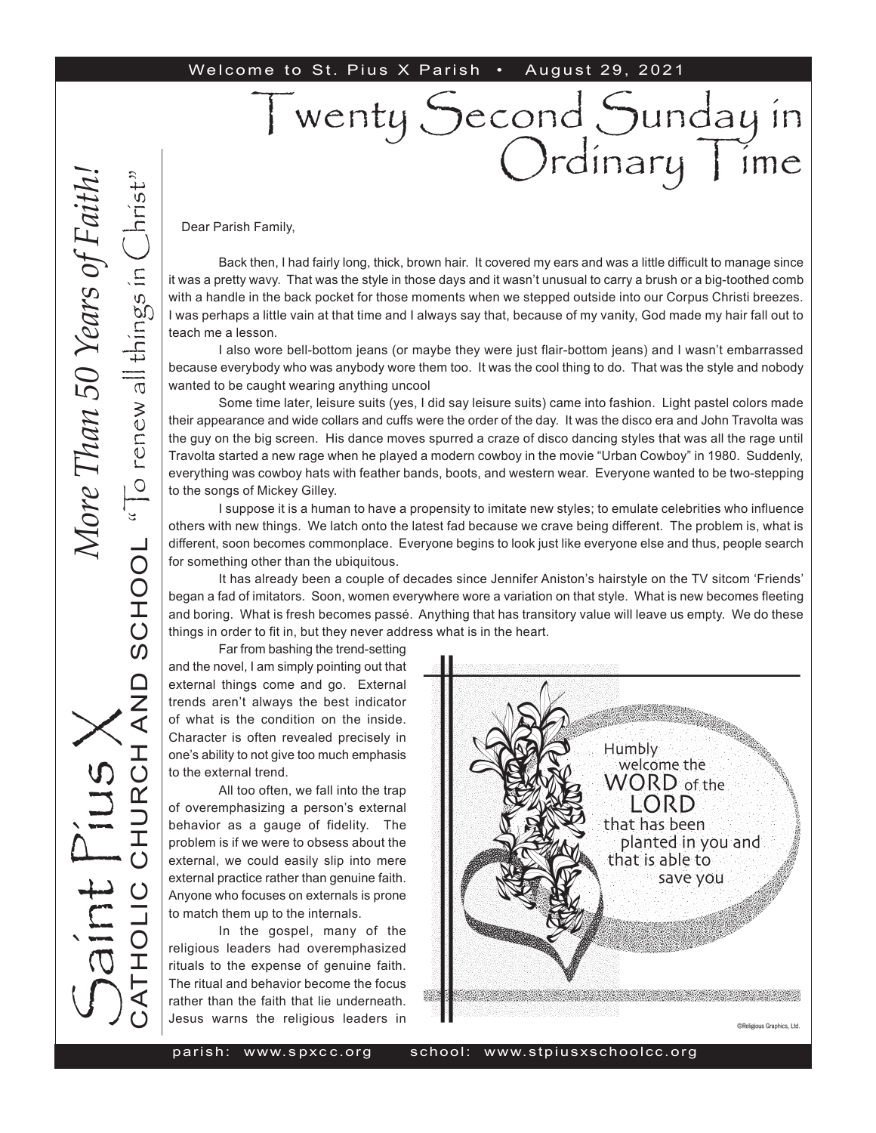#### Welcome to St. Pius X Parish • August 29, 2021

#### Dear Parish Family,

Back then, I had fairly long, thick, brown hair. It covered my ears and was a little difficult to manage since it was a pretty wavy. That was the style in those days and it wasn't unusual to carry a brush or a big-toothed comb with a handle in the back pocket for those moments when we stepped outside into our Corpus Christi breezes. I was perhaps a little vain at that time and I always say that, because of my vanity, God made my hair fall out to teach me a lesson.

I wenty Second Sunday in

Ordinary | ime

I also wore bell-bottom jeans (or maybe they were just flair-bottom jeans) and I wasn't embarrassed because everybody who was anybody wore them too. It was the cool thing to do. That was the style and nobody wanted to be caught wearing anything uncool

Some time later, leisure suits (yes, I did say leisure suits) came into fashion. Light pastel colors made their appearance and wide collars and cuffs were the order of the day. It was the disco era and John Travolta was the guy on the big screen. His dance moves spurred a craze of disco dancing styles that was all the rage until Travolta started a new rage when he played a modern cowboy in the movie "Urban Cowboy" in 1980. Suddenly, everything was cowboy hats with feather bands, boots, and western wear. Everyone wanted to be two-stepping to the songs of Mickey Gilley.

I suppose it is a human to have a propensity to imitate new styles; to emulate celebrities who influence others with new things. We latch onto the latest fad because we crave being different. The problem is, what is different, soon becomes commonplace. Everyone begins to look just like everyone else and thus, people search for something other than the ubiquitous.

It has already been a couple of decades since Jennifer Aniston's hairstyle on the TV sitcom 'Friends' began a fad of imitators. Soon, women everywhere wore a variation on that style. What is new becomes fleeting and boring. What is fresh becomes passé. Anything that has transitory value will leave us empty. We do these things in order to fit in, but they never address what is in the heart.

Far from bashing the trend-setting

and the novel, I am simply pointing out that external things come and go. External trends aren't always the best indicator of what is the condition on the inside. Character is often revealed precisely in one's ability to not give too much emphasis to the external trend.

All too often, we fall into the trap of overemphasizing a person's external behavior as a gauge of fidelity. The problem is if we were to obsess about the external, we could easily slip into mere external practice rather than genuine faith. Anyone who focuses on externals is prone to match them up to the internals.

In the gospel, many of the religious leaders had overemphasized rituals to the expense of genuine faith. The ritual and behavior become the focus rather than the faith that lie underneath. Jesus warns the religious leaders in

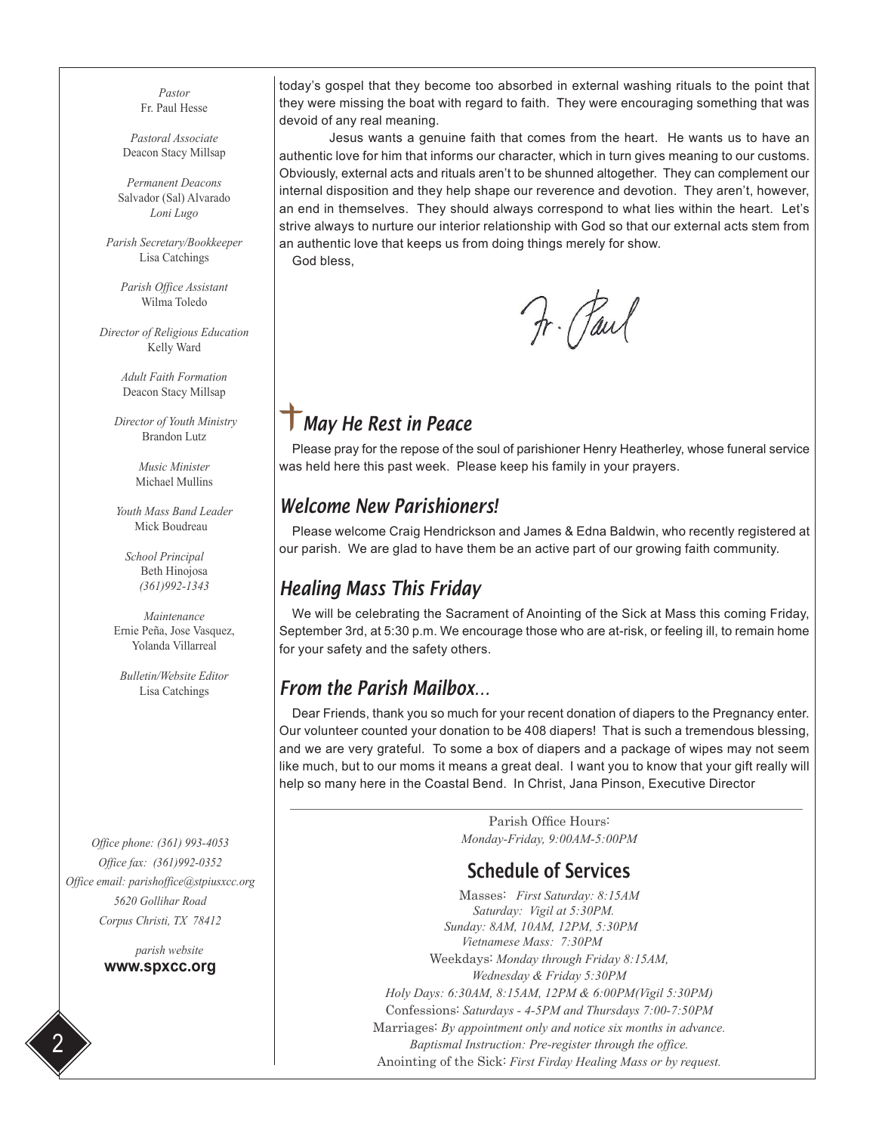*Pastor* Fr. Paul Hesse

*Pastoral Associate* Deacon Stacy Millsap

*Permanent Deacons* Salvador (Sal) Alvarado *Loni Lugo*

*Parish Secretary/Bookkeeper* Lisa Catchings

*Parish Office Assistant* Wilma Toledo

*Director of Religious Education* Kelly Ward

> *Adult Faith Formation* Deacon Stacy Millsap

 *Director of Youth Ministry* Brandon Lutz

> *Music Minister* Michael Mullins

*Youth Mass Band Leader* Mick Boudreau

 *School Principal* Beth Hinojosa *(361)992-1343*

*Maintenance* Ernie Peña, Jose Vasquez, Yolanda Villarreal

*Bulletin/Website Editor* Lisa Catchings

*Office phone: (361) 993-4053 Office fax: (361)992-0352 Office email: parishoffice@stpiusxcc.org 5620 Gollihar Road Corpus Christi, TX 78412*

> *parish website* **www.spxcc.org**

today's gospel that they become too absorbed in external washing rituals to the point that they were missing the boat with regard to faith. They were encouraging something that was devoid of any real meaning.

Jesus wants a genuine faith that comes from the heart. He wants us to have an authentic love for him that informs our character, which in turn gives meaning to our customs. Obviously, external acts and rituals aren't to be shunned altogether. They can complement our internal disposition and they help shape our reverence and devotion. They aren't, however, an end in themselves. They should always correspond to what lies within the heart. Let's strive always to nurture our interior relationship with God so that our external acts stem from an authentic love that keeps us from doing things merely for show. God bless,

Fr. Paul

### *May He Rest in Peace*

Please pray for the repose of the soul of parishioner Henry Heatherley, whose funeral service was held here this past week. Please keep his family in your prayers.

#### *Welcome New Parishioners!*

Please welcome Craig Hendrickson and James & Edna Baldwin, who recently registered at our parish. We are glad to have them be an active part of our growing faith community.

#### *Healing Mass This Friday*

We will be celebrating the Sacrament of Anointing of the Sick at Mass this coming Friday, September 3rd, at 5:30 p.m. We encourage those who are at-risk, or feeling ill, to remain home for your safety and the safety others.

#### *From the Parish Mailbox…*

Dear Friends, thank you so much for your recent donation of diapers to the Pregnancy enter. Our volunteer counted your donation to be 408 diapers! That is such a tremendous blessing, and we are very grateful. To some a box of diapers and a package of wipes may not seem like much, but to our moms it means a great deal. I want you to know that your gift really will help so many here in the Coastal Bend. In Christ, Jana Pinson, Executive Director

> Parish Office Hours: *Monday-Friday, 9:00AM-5:00PM*

#### Schedule of Services

Masses: *First Saturday: 8:15AM Saturday: Vigil at 5:30PM. Sunday: 8AM, 10AM, 12PM, 5:30PM Vietnamese Mass: 7:30PM*  Weekdays: *Monday through Friday 8:15AM, Wednesday & Friday 5:30PM Holy Days: 6:30AM, 8:15AM, 12PM & 6:00PM(Vigil 5:30PM)* Confessions: *Saturdays - 4-5PM and Thursdays 7:00-7:50PM* Marriages: *By appointment only and notice six months in advance. Baptismal Instruction: Pre-register through the office.* Anointing of the Sick: *First Firday Healing Mass or by request.*

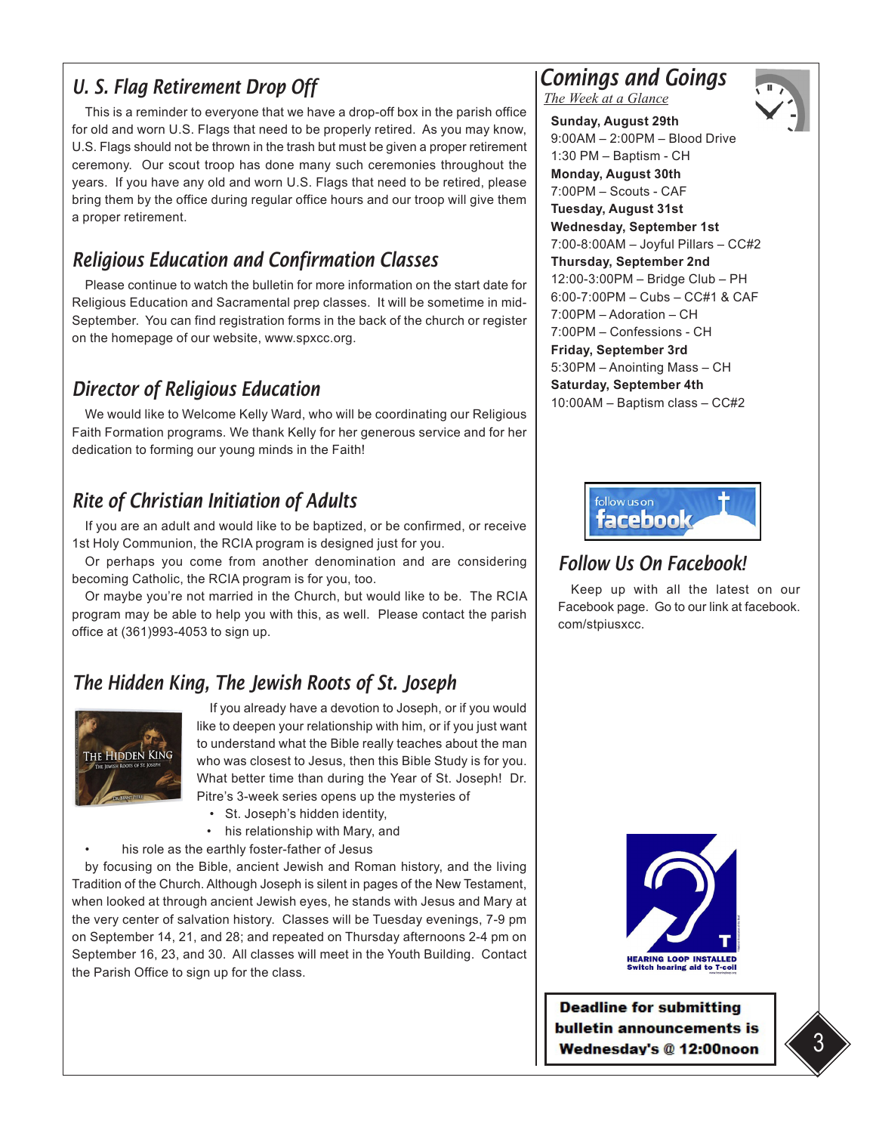### *U. S. Flag Retirement Drop Off*

This is a reminder to everyone that we have a drop-off box in the parish office for old and worn U.S. Flags that need to be properly retired. As you may know, U.S. Flags should not be thrown in the trash but must be given a proper retirement ceremony. Our scout troop has done many such ceremonies throughout the years. If you have any old and worn U.S. Flags that need to be retired, please bring them by the office during regular office hours and our troop will give them a proper retirement.

# *Religious Education and Confirmation Classes*

Please continue to watch the bulletin for more information on the start date for Religious Education and Sacramental prep classes. It will be sometime in mid-September. You can find registration forms in the back of the church or register on the homepage of our website, www.spxcc.org.

# *Director of Religious Education*

We would like to Welcome Kelly Ward, who will be coordinating our Religious Faith Formation programs. We thank Kelly for her generous service and for her dedication to forming our young minds in the Faith!

# *Rite of Christian Initiation of Adults*

If you are an adult and would like to be baptized, or be confirmed, or receive 1st Holy Communion, the RCIA program is designed just for you.

Or perhaps you come from another denomination and are considering becoming Catholic, the RCIA program is for you, too.

Or maybe you're not married in the Church, but would like to be. The RCIA program may be able to help you with this, as well. Please contact the parish office at (361)993-4053 to sign up.

# *The Hidden King, The Jewish Roots of St. Joseph*



If you already have a devotion to Joseph, or if you would like to deepen your relationship with him, or if you just want to understand what the Bible really teaches about the man who was closest to Jesus, then this Bible Study is for you. What better time than during the Year of St. Joseph! Dr. Pitre's 3-week series opens up the mysteries of

- St. Joseph's hidden identity,
- his relationship with Mary, and
- his role as the earthly foster-father of Jesus

by focusing on the Bible, ancient Jewish and Roman history, and the living Tradition of the Church. Although Joseph is silent in pages of the New Testament, when looked at through ancient Jewish eyes, he stands with Jesus and Mary at the very center of salvation history. Classes will be Tuesday evenings, 7-9 pm on September 14, 21, and 28; and repeated on Thursday afternoons 2-4 pm on September 16, 23, and 30. All classes will meet in the Youth Building. Contact the Parish Office to sign up for the class.

# *Comings and Goings*

*The Week at a Glance*



**Sunday, August 29th**  9:00AM – 2:00PM – Blood Drive 1:30 PM – Baptism - CH **Monday, August 30th**  7:00PM – Scouts - CAF **Tuesday, August 31st Wednesday, September 1st**  7:00-8:00AM – Joyful Pillars – CC#2 **Thursday, September 2nd**  12:00-3:00PM – Bridge Club – PH 6:00-7:00PM – Cubs – CC#1 & CAF 7:00PM – Adoration – CH 7:00PM – Confessions - CH **Friday, September 3rd** 5:30PM – Anointing Mass – CH **Saturday, September 4th** 10:00AM – Baptism class – CC#2



#### *Follow Us On Facebook!*

Keep up with all the latest on our Facebook page. Go to our link at facebook. com/stpiusxcc.



**Deadline for submitting** bulletin announcements is **Wednesday's @ 12:00noon**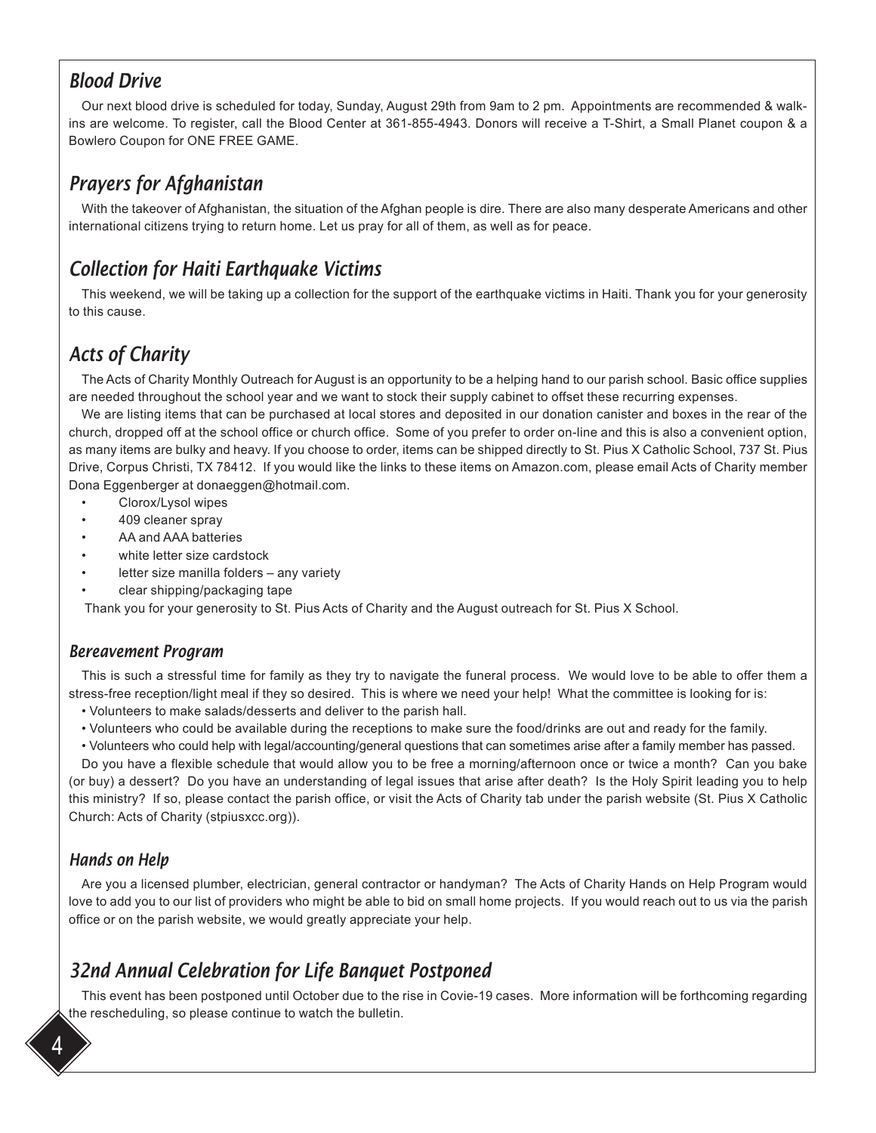#### *Blood Drive*

Our next blood drive is scheduled for today, Sunday, August 29th from 9am to 2 pm. Appointments are recommended & walkins are welcome. To register, call the Blood Center at 361-855-4943. Donors will receive a T-Shirt, a Small Planet coupon & a Bowlero Coupon for ONE FREE GAME.

# *Prayers for Afghanistan*

With the takeover of Afghanistan, the situation of the Afghan people is dire. There are also many desperate Americans and other international citizens trying to return home. Let us pray for all of them, as well as for peace.

# *Collection for Haiti Earthquake Victims*

This weekend, we will be taking up a collection for the support of the earthquake victims in Haiti. Thank you for your generosity to this cause.

# *Acts of Charity*

The Acts of Charity Monthly Outreach for August is an opportunity to be a helping hand to our parish school. Basic office supplies are needed throughout the school year and we want to stock their supply cabinet to offset these recurring expenses.

We are listing items that can be purchased at local stores and deposited in our donation canister and boxes in the rear of the church, dropped off at the school office or church office. Some of you prefer to order on-line and this is also a convenient option, as many items are bulky and heavy. If you choose to order, items can be shipped directly to St. Pius X Catholic School, 737 St. Pius Drive, Corpus Christi, TX 78412. If you would like the links to these items on Amazon.com, please email Acts of Charity member Dona Eggenberger at donaeggen@hotmail.com.

- Clorox/Lysol wipes
- 409 cleaner spray
- AA and AAA batteries
- white letter size cardstock
- letter size manilla folders any variety
- clear shipping/packaging tape

Thank you for your generosity to St. Pius Acts of Charity and the August outreach for St. Pius X School.

#### *Bereavement Program*

This is such a stressful time for family as they try to navigate the funeral process. We would love to be able to offer them a stress-free reception/light meal if they so desired. This is where we need your help! What the committee is looking for is:

- Volunteers to make salads/desserts and deliver to the parish hall.
- Volunteers who could be available during the receptions to make sure the food/drinks are out and ready for the family.
- Volunteers who could help with legal/accounting/general questions that can sometimes arise after a family member has passed.

Do you have a flexible schedule that would allow you to be free a morning/afternoon once or twice a month? Can you bake (or buy) a dessert? Do you have an understanding of legal issues that arise after death? Is the Holy Spirit leading you to help this ministry? If so, please contact the parish office, or visit the Acts of Charity tab under the parish website (St. Pius X Catholic Church: Acts of Charity (stpiusxcc.org)).

#### *Hands on Help*

Are you a licensed plumber, electrician, general contractor or handyman? The Acts of Charity Hands on Help Program would love to add you to our list of providers who might be able to bid on small home projects. If you would reach out to us via the parish office or on the parish website, we would greatly appreciate your help.

# *32nd Annual Celebration for Life Banquet Postponed*

This event has been postponed until October due to the rise in Covie-19 cases. More information will be forthcoming regarding the rescheduling, so please continue to watch the bulletin.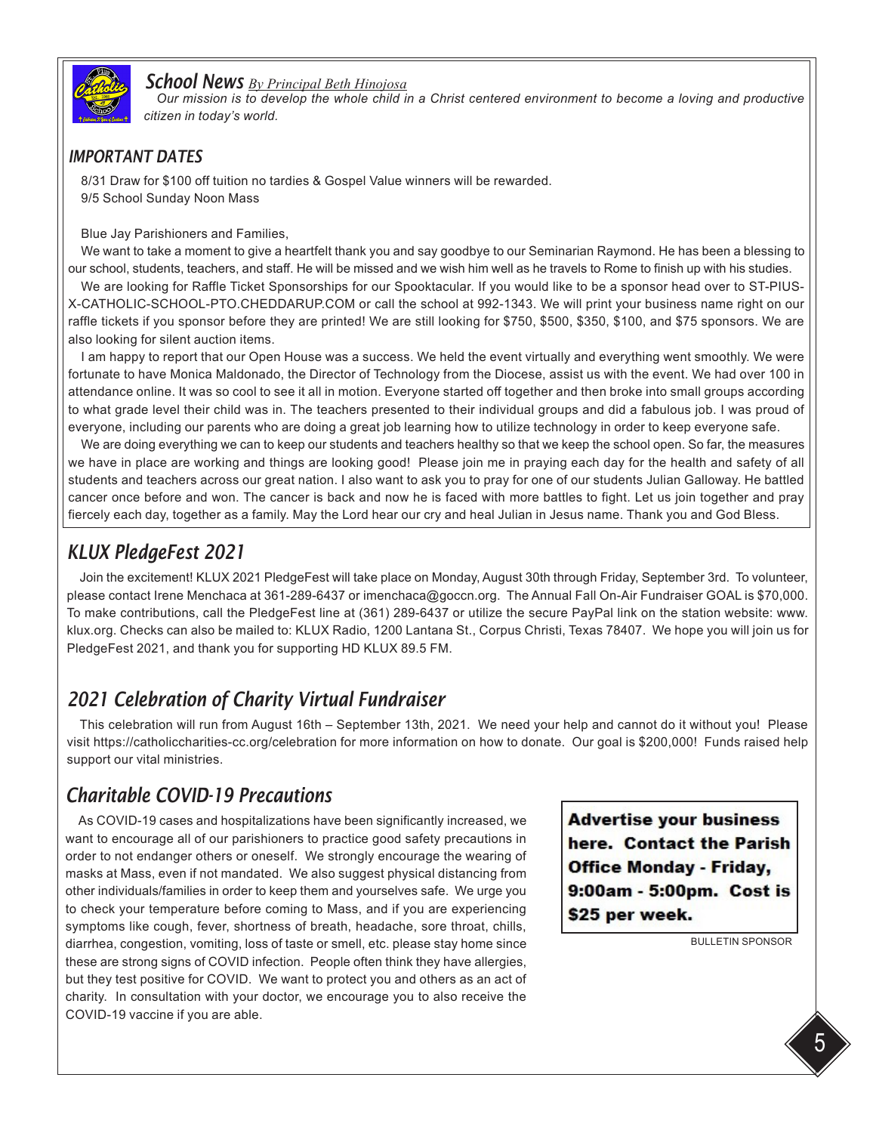

#### *School News By Principal Beth Hinojosa*

*Our mission is to develop the whole child in a Christ centered environment to become a loving and productive citizen in today's world.* 

#### *IMPORTANT DATES*

8/31 Draw for \$100 off tuition no tardies & Gospel Value winners will be rewarded. 9/5 School Sunday Noon Mass

Blue Jay Parishioners and Families,

We want to take a moment to give a heartfelt thank you and say goodbye to our Seminarian Raymond. He has been a blessing to our school, students, teachers, and staff. He will be missed and we wish him well as he travels to Rome to finish up with his studies.

We are looking for Raffle Ticket Sponsorships for our Spooktacular. If you would like to be a sponsor head over to ST-PIUS-X-CATHOLIC-SCHOOL-PTO.CHEDDARUP.COM or call the school at 992-1343. We will print your business name right on our raffle tickets if you sponsor before they are printed! We are still looking for \$750, \$500, \$350, \$100, and \$75 sponsors. We are also looking for silent auction items.

I am happy to report that our Open House was a success. We held the event virtually and everything went smoothly. We were fortunate to have Monica Maldonado, the Director of Technology from the Diocese, assist us with the event. We had over 100 in attendance online. It was so cool to see it all in motion. Everyone started off together and then broke into small groups according to what grade level their child was in. The teachers presented to their individual groups and did a fabulous job. I was proud of everyone, including our parents who are doing a great job learning how to utilize technology in order to keep everyone safe.

We are doing everything we can to keep our students and teachers healthy so that we keep the school open. So far, the measures we have in place are working and things are looking good! Please join me in praying each day for the health and safety of all students and teachers across our great nation. I also want to ask you to pray for one of our students Julian Galloway. He battled cancer once before and won. The cancer is back and now he is faced with more battles to fight. Let us join together and pray fiercely each day, together as a family. May the Lord hear our cry and heal Julian in Jesus name. Thank you and God Bless.

### *KLUX PledgeFest 2021*

Join the excitement! KLUX 2021 PledgeFest will take place on Monday, August 30th through Friday, September 3rd. To volunteer, please contact Irene Menchaca at 361-289-6437 or imenchaca@goccn.org. The Annual Fall On-Air Fundraiser GOAL is \$70,000. To make contributions, call the PledgeFest line at (361) 289-6437 or utilize the secure PayPal link on the station website: www. klux.org. Checks can also be mailed to: KLUX Radio, 1200 Lantana St., Corpus Christi, Texas 78407. We hope you will join us for PledgeFest 2021, and thank you for supporting HD KLUX 89.5 FM.

### *2021 Celebration of Charity Virtual Fundraiser*

This celebration will run from August 16th – September 13th, 2021. We need your help and cannot do it without you! Please visit https://catholiccharities-cc.org/celebration for more information on how to donate. Our goal is \$200,000! Funds raised help support our vital ministries.

### *Charitable COVID-19 Precautions*

As COVID-19 cases and hospitalizations have been significantly increased, we want to encourage all of our parishioners to practice good safety precautions in order to not endanger others or oneself. We strongly encourage the wearing of masks at Mass, even if not mandated. We also suggest physical distancing from other individuals/families in order to keep them and yourselves safe. We urge you to check your temperature before coming to Mass, and if you are experiencing symptoms like cough, fever, shortness of breath, headache, sore throat, chills, diarrhea, congestion, vomiting, loss of taste or smell, etc. please stay home since these are strong signs of COVID infection. People often think they have allergies, but they test positive for COVID. We want to protect you and others as an act of charity. In consultation with your doctor, we encourage you to also receive the COVID-19 vaccine if you are able.

**Advertise your business** here. Contact the Parish **Office Monday - Friday,** 9:00am - 5:00pm. Cost is \$25 per week.

BULLETIN SPONSOR